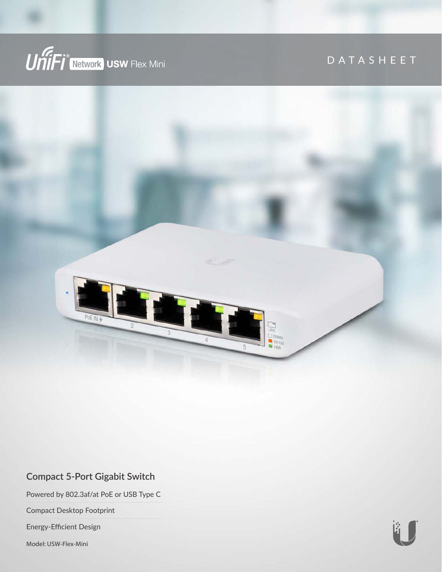

# DATASHEET



### **Compact 5-Port Gigabit Switch**

Powered by 802.3af/at PoE or USB Type C

Compact Desktop Footprint

Energy-Efficient Design

Model: USW-Flex-Mini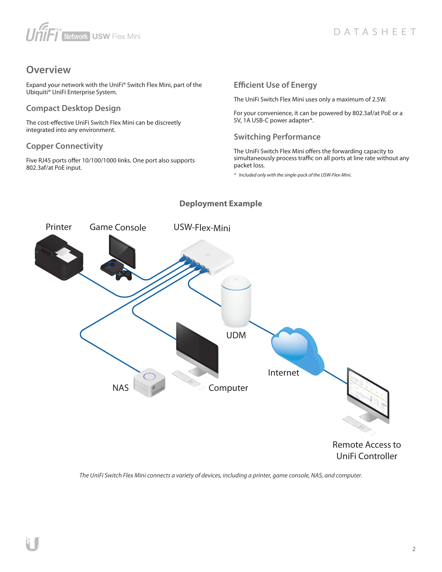# UniFj<sup>®</sup>Network USW Flex Mini

# **Overview**

Expand your network with the UniFi® Switch Flex Mini, part of the Ubiquiti® UniFi Enterprise System.

#### **Compact Desktop Design**

The cost-effective UniFi Switch Flex Mini can be discreetly integrated into any environment.

#### **Copper Connectivity**

Five RJ45 ports offer 10/100/1000 links. One port also supports 802.3af/at PoE input.

#### **Efficient Use of Energy**

The UniFi Switch Flex Mini uses only a maximum of 2.5W.

For your convenience, it can be powered by 802.3af/at PoE or a 5V, 1A USB-C power adapter\*.

#### **Switching Performance**

The UniFi Switch Flex Mini offers the forwarding capacity to simultaneously process traffic on all ports at line rate without any packet loss.

*\* Included only with the single-pack of the USW-Flex-Mini.*



#### **Deployment Example**

UniFi Controller

*The UniFi Switch Flex Mini connects a variety of devices, including a printer, game console, NAS, and computer.*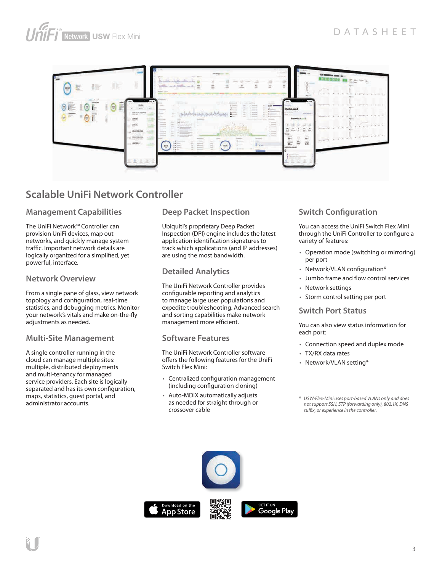

# **Scalable UniFi Network Controller**

#### **Management Capabilities**

The UniFi Network™ Controller can provision UniFi devices, map out networks, and quickly manage system traffic. Important network details are logically organized for a simplified, yet powerful, interface.

#### **Network Overview**

From a single pane of glass, view network topology and configuration, real-time statistics, and debugging metrics. Monitor your network's vitals and make on-the-fly adjustments as needed.

#### **Multi-Site Management**

A single controller running in the cloud can manage multiple sites: multiple, distributed deployments and multi-tenancy for managed service providers. Each site is logically separated and has its own configuration, maps, statistics, guest portal, and administrator accounts.

#### **Deep Packet Inspection**

Ubiquiti's proprietary Deep Packet Inspection (DPI) engine includes the latest application identification signatures to track which applications (and IP addresses) are using the most bandwidth.

#### **Detailed Analytics**

The UniFi Network Controller provides configurable reporting and analytics to manage large user populations and expedite troubleshooting. Advanced search and sorting capabilities make network management more efficient.

#### **Software Features**

The UniFi Network Controller software offers the following features for the UniFi Switch Flex Mini:

- Centralized configuration management (including configuration cloning)
- Auto-MDIX automatically adjusts as needed for straight through or crossover cable

### **Switch Configuration**

You can access the UniFi Switch Flex Mini through the UniFi Controller to configure a variety of features:

- Operation mode (switching or mirroring) per port
- Network/VLAN configuration\*
- Jumbo frame and flow control services
- Network settings
- Storm control setting per port

#### **Switch Port Status**

You can also view status information for each port:

- Connection speed and duplex mode
- TX/RX data rates
- Network/VLAN setting\*
- *\* USW-Flex-Mini uses port-based VLANs only and does not support SSH, STP (forwarding only), 802.1X, DNS sux, or experience in the controller.*